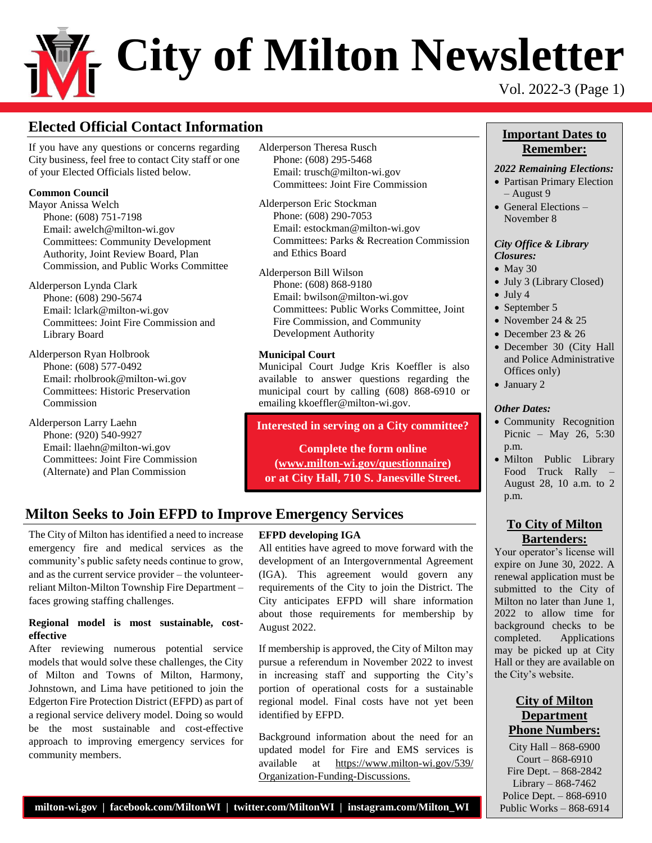# **City of Milton Newsletter** Vol. 2022-3 (Page 1)

## **Elected Official Contact Information Important Dates to**

If you have any questions or concerns regarding City business, feel free to contact City staff or one of your Elected Officials listed below.

#### **Common Council**

Mayor Anissa Welch Phone: (608) 751-7198 Email: awelch@milton-wi.gov Committees: Community Development Authority, Joint Review Board, Plan Commission, and Public Works Committee

Alderperson Lynda Clark Phone: (608) 290-5674 Email: lclark@milton-wi.gov Committees: Joint Fire Commission and Library Board

Alderperson Ryan Holbrook Phone: (608) 577-0492 Email: rholbrook@milton-wi.gov Committees: Historic Preservation Commission

Alderperson Larry Laehn Phone: (920) 540-9927 Email: llaehn@milton-wi.gov Committees: Joint Fire Commission (Alternate) and Plan Commission

Alderperson Theresa Rusch Phone: (608) 295-5468 Email: trusch@milton-wi.gov Committees: Joint Fire Commission

Alderperson Eric Stockman Phone: (608) 290-7053 Email: estockman@milton-wi.gov Committees: Parks & Recreation Commission and Ethics Board

Alderperson Bill Wilson Phone: (608) 868-9180 Email: bwilson@milton-wi.gov Committees: Public Works Committee, Joint Fire Commission, and Community Development Authority

#### **Municipal Court**

Municipal Court Judge Kris Koeffler is also available to answer questions regarding the municipal court by calling (608) 868-6910 or emailing kkoeffler@milton-wi.gov.

#### **Interested in serving on a City committee?**

**Complete the form online [\(www.milton-wi.gov/questionnaire\)](http://www.milton-wi.gov/questionnaire) or at City Hall, 710 S. Janesville Street.**

## **Milton Seeks to Join EFPD to Improve Emergency Services**

The City of Milton has identified a need to increase emergency fire and medical services as the community's public safety needs continue to grow, and as the current service provider – the volunteerreliant Milton-Milton Township Fire Department – faces growing staffing challenges.

#### **Regional model is most sustainable, costeffective**

After reviewing numerous potential service models that would solve these challenges, the City of Milton and Towns of Milton, Harmony, Johnstown, and Lima have petitioned to join the Edgerton Fire Protection District (EFPD) as part of a regional service delivery model. Doing so would be the most sustainable and cost-effective approach to improving emergency services for community members.

#### **EFPD developing IGA**

All entities have agreed to move forward with the development of an Intergovernmental Agreement (IGA). This agreement would govern any requirements of the City to join the District. The City anticipates EFPD will share information about those requirements for membership by August 2022.

If membership is approved, the City of Milton may pursue a referendum in November 2022 to invest in increasing staff and supporting the City's portion of operational costs for a sustainable regional model. Final costs have not yet been identified by EFPD.

Background information about the need for an updated model for Fire and EMS services is available at [https://www.milton-wi.gov/539/](https://www.milton-wi.gov/539/%20Organization-Funding-Discussions)  [Organization-Funding-Discussions.](https://www.milton-wi.gov/539/%20Organization-Funding-Discussions)

## **Remember:**

#### *2022 Remaining Elections:*

- Partisan Primary Election – August 9
- General Elections November 8

#### *City Office & Library Closures:*

- $\bullet$  May 30
- July 3 (Library Closed)
- $\bullet$  July 4
- September 5
- November 24  $& 25$
- December 23 & 26
- December 30 (City Hall and Police Administrative Offices only)
- January 2

#### *Other Dates:*

- Community Recognition Picnic – May 26, 5:30 p.m.
- Milton Public Library Food Truck Rally August 28, 10 a.m. to 2 p.m.

#### **To City of Milton Bartenders:**

Your operator's license will expire on June 30, 2022. A renewal application must be submitted to the City of Milton no later than June 1, 2022 to allow time for background checks to be completed. Applications may be picked up at City Hall or they are available on the City's website.

### **City of Milton Department Phone Numbers:**

City Hall – 868-6900  $C$ ourt – 868-6910 Fire Dept. – 868-2842 Library –  $868-7462$ Police Dept. – 868-6910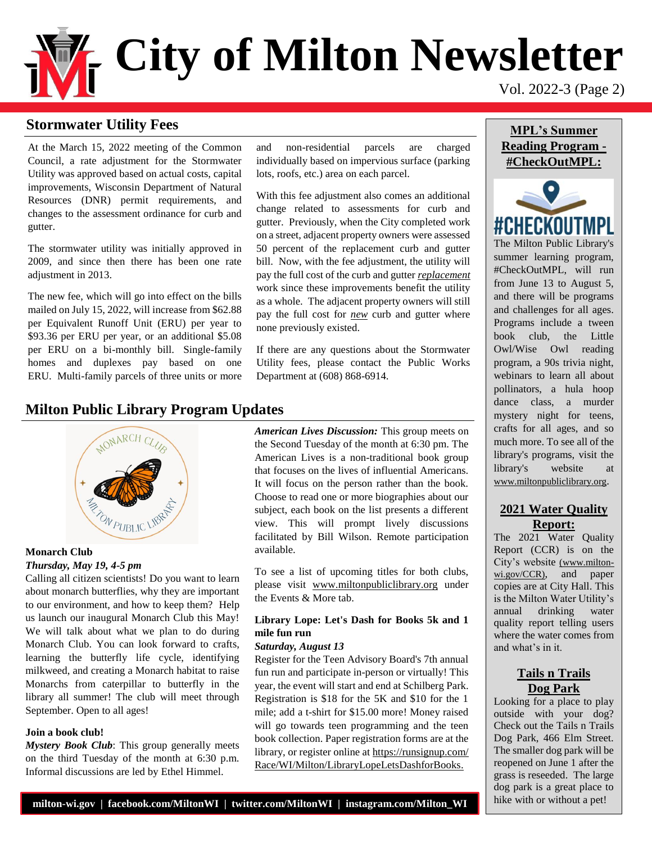# **City of Milton Newsletter** Vol. 2022-3 (Page 2)

## **Stormwater Utility Fees**

At the March 15, 2022 meeting of the Common Council, a rate adjustment for the Stormwater Utility was approved based on actual costs, capital improvements, Wisconsin Department of Natural Resources (DNR) permit requirements, and changes to the assessment ordinance for curb and gutter.

The stormwater utility was initially approved in 2009, and since then there has been one rate adjustment in 2013.

The new fee, which will go into effect on the bills mailed on July 15, 2022, will increase from \$62.88 per Equivalent Runoff Unit (ERU) per year to \$93.36 per ERU per year, or an additional \$5.08 per ERU on a bi-monthly bill. Single-family homes and duplexes pay based on one ERU. Multi-family parcels of three units or more

## **Milton Public Library Program Updates**



#### **Monarch Club** *Thursday, May 19, 4-5 pm*

Calling all citizen scientists! Do you want to learn about monarch butterflies, why they are important to our environment, and how to keep them? Help us launch our inaugural Monarch Club this May! We will talk about what we plan to do during Monarch Club. You can look forward to crafts, learning the butterfly life cycle, identifying milkweed, and creating a Monarch habitat to raise Monarchs from caterpillar to butterfly in the library all summer! The club will meet through September. Open to all ages!

#### **Join a book club!**

*Mystery Book Club*: This group generally meets on the third Tuesday of the month at 6:30 p.m. Informal discussions are led by Ethel Himmel.

and non-residential parcels are charged individually based on impervious surface (parking lots, roofs, etc.) area on each parcel.

With this fee adjustment also comes an additional change related to assessments for curb and gutter. Previously, when the City completed work on a street, adjacent property owners were assessed 50 percent of the replacement curb and gutter bill. Now, with the fee adjustment, the utility will pay the full cost of the curb and gutter *replacement* work since these improvements benefit the utility as a whole. The adjacent property owners will still pay the full cost for *new* curb and gutter where none previously existed.

If there are any questions about the Stormwater Utility fees, please contact the Public Works Department at (608) 868-6914.

*American Lives Discussion:* This group meets on the Second Tuesday of the month at 6:30 pm. The American Lives is a non-traditional book group that focuses on the lives of influential Americans. It will focus on the person rather than the book. Choose to read one or more biographies about our subject, each book on the list presents a different view. This will prompt lively discussions facilitated by Bill Wilson. Remote participation available.

To see a list of upcoming titles for both clubs, please visit [www.miltonpubliclibrary.org](file://///miltondata/home/City%20Hall/Inga/Inga/Employee%20Docs%20and%20Info/Administrative%20Services%20Division/Public%20Communications/Bi-Monthly%20Newsletter/2022/www.miltonpubliclibrary.org) under the Events & More tab.

#### **Library Lope: Let's Dash for Books 5k and 1 mile fun run**

#### *Saturday, August 13*

Register for the Teen Advisory Board's 7th annual fun run and participate in-person or virtually! This year, the event will start and end at Schilberg Park. Registration is \$18 for the 5K and \$10 for the 1 mile; add a t-shirt for \$15.00 more! Money raised will go towards teen programming and the teen book collection. Paper registration forms are at the library, or register online at [https://runsignup.com/](https://runsignup.com/Race/WI/Milton/LibraryLopeLetsDashforBooks)  [Race/WI/Milton/LibraryLopeLetsDashforBooks.](https://runsignup.com/Race/WI/Milton/LibraryLopeLetsDashforBooks)

### **MPL's Summer Reading Program - #CheckOutMPL:**



The Milton Public Library's summer learning program, #CheckOutMPL, will run from June 13 to August 5, and there will be programs and challenges for all ages. Programs include a tween book club, the Little Owl/Wise Owl reading program, a 90s trivia night, webinars to learn all about pollinators, a hula hoop dance class, a murder mystery night for teens, crafts for all ages, and so much more. To see all of the library's programs, visit the library's website at www.miltonpubliclibrary.org.

#### **2021 Water Quality Report:**

The 2021 Water Quality Report (CCR) is on the City's website [\(www.milton](https://www.milton-wi.gov/CCR)[wi.gov/CCR\)](https://www.milton-wi.gov/CCR), and paper copies are at City Hall. This is the Milton Water Utility's annual drinking water quality report telling users where the water comes from and what's in it.

### **Tails n Trails Dog Park**

Looking for a place to play outside with your dog? Check out the Tails n Trails Dog Park, 466 Elm Street. The smaller dog park will be reopened on June 1 after the grass is reseeded. The large dog park is a great place to hike with or without a pet!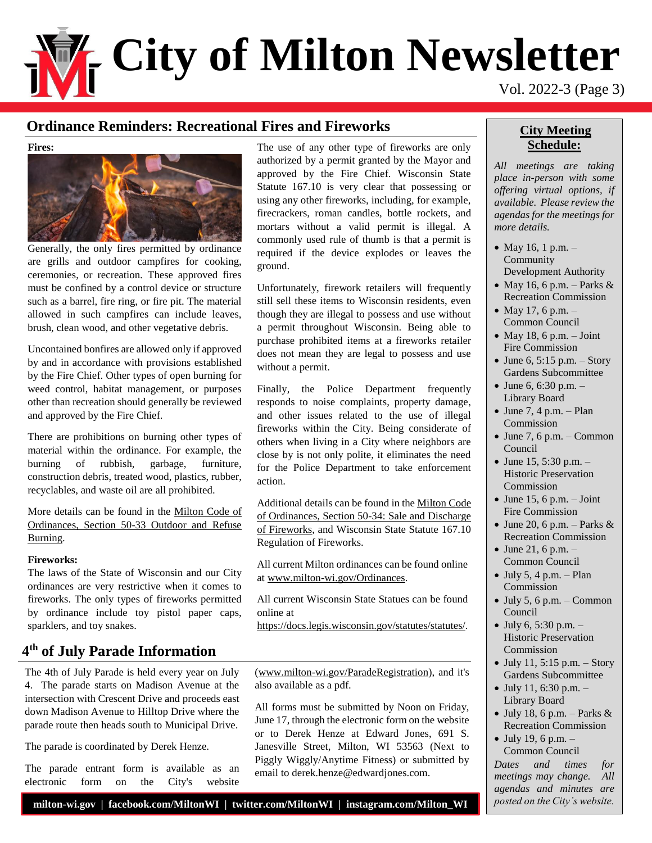# **City of Milton Newsletter** Vol. 2022-3 (Page 3)

## **Ordinance Reminders: Recreational Fires and Fireworks**

**Fires:**



Generally, the only fires permitted by ordinance are grills and outdoor campfires for cooking, ceremonies, or recreation. These approved fires must be confined by a control device or structure such as a barrel, fire ring, or fire pit. The material allowed in such campfires can include leaves, brush, clean wood, and other vegetative debris.

Uncontained bonfires are allowed only if approved by and in accordance with provisions established by the Fire Chief. Other types of open burning for weed control, habitat management, or purposes other than recreation should generally be reviewed and approved by the Fire Chief.

There are prohibitions on burning other types of material within the ordinance. For example, the burning of rubbish, garbage, furniture, construction debris, treated wood, plastics, rubber, recyclables, and waste oil are all prohibited.

More details can be found in the [Milton Code of](https://library.municode.com/wi/milton/codes/code_of_ordinances?nodeId=PTIICOOR_CH50OF_ARTIIOFENPUSA_S50-33OUREBU)  [Ordinances, Section 50-33 Outdoor and Refuse](https://library.municode.com/wi/milton/codes/code_of_ordinances?nodeId=PTIICOOR_CH50OF_ARTIIOFENPUSA_S50-33OUREBU)  [Burning.](https://library.municode.com/wi/milton/codes/code_of_ordinances?nodeId=PTIICOOR_CH50OF_ARTIIOFENPUSA_S50-33OUREBU)

#### **Fireworks:**

The laws of the State of Wisconsin and our City ordinances are very restrictive when it comes to fireworks. The only types of fireworks permitted by ordinance include toy pistol paper caps, sparklers, and toy snakes.

## **4 th of July Parade Information**

The 4th of July Parade is held every year on July 4. The parade starts on Madison Avenue at the intersection with Crescent Drive and proceeds east down Madison Avenue to Hilltop Drive where the parade route then heads south to Municipal Drive.

The parade is coordinated by Derek Henze.

The parade entrant form is available as an electronic form on the City's website The use of any other type of fireworks are only authorized by a permit granted by the Mayor and approved by the Fire Chief. Wisconsin State Statute 167.10 is very clear that possessing or using any other fireworks, including, for example, firecrackers, roman candles, bottle rockets, and mortars without a valid permit is illegal. A commonly used rule of thumb is that a permit is required if the device explodes or leaves the ground.

Unfortunately, firework retailers will frequently still sell these items to Wisconsin residents, even though they are illegal to possess and use without a permit throughout Wisconsin. Being able to purchase prohibited items at a fireworks retailer does not mean they are legal to possess and use without a permit.

Finally, the Police Department frequently responds to noise complaints, property damage, and other issues related to the use of illegal fireworks within the City. Being considerate of others when living in a City where neighbors are close by is not only polite, it eliminates the need for the Police Department to take enforcement action.

Additional details can be found in the [Milton Code](https://library.municode.com/wi/milton/codes/code_of_ordinances?nodeId=PTIICOOR_CH50OF_ARTIIOFENPUSA_S50-34SADIFI)  [of Ordinances, Section 50-34: Sale and Discharge](https://library.municode.com/wi/milton/codes/code_of_ordinances?nodeId=PTIICOOR_CH50OF_ARTIIOFENPUSA_S50-34SADIFI)  [of Fireworks,](https://library.municode.com/wi/milton/codes/code_of_ordinances?nodeId=PTIICOOR_CH50OF_ARTIIOFENPUSA_S50-34SADIFI) and Wisconsin State Statute 167.10 Regulation of Fireworks.

All current Milton ordinances can be found online at [www.milton-wi.gov/Ordinances.](https://www.milton-wi.gov/Ordinances)

All current Wisconsin State Statues can be found online at

<https://docs.legis.wisconsin.gov/statutes/statutes/>.

[\(www.milton-wi.gov/ParadeRegistration\)](https://www.milton-wi.gov/ParadeRegistration), and it's also available as a pdf.

All forms must be submitted by Noon on Friday, June 17, through the electronic form on the website or to Derek Henze at Edward Jones, 691 S. Janesville Street, Milton, WI 53563 (Next to Piggly Wiggly/Anytime Fitness) or submitted by email to derek.henze@edwardjones.com.

## **City Meeting Schedule:**

*All meetings are taking place in-person with some offering virtual options, if available. Please review the agendas for the meetings for more details.*

- May 16, 1 p.m.  $-$ Community Development Authority
- May 16, 6 p.m. Parks  $\&$ Recreation Commission
- May 17, 6 p.m.  $-$ Common Council
- May 18, 6 p.m. Joint Fire Commission
- June 6, 5:15 p.m. Story Gardens Subcommittee
- June 6, 6:30 p.m. Library Board
- $\bullet$  June 7, 4 p.m. Plan Commission
- $\bullet$  June 7, 6 p.m. Common Council
- June 15, 5:30 p.m.  $-$ Historic Preservation Commission
- $\bullet$  June 15, 6 p.m. Joint Fire Commission
- June 20, 6 p.m. Parks  $&$ Recreation Commission
- June 21, 6 p.m. Common Council
- $\bullet$  July 5, 4 p.m. Plan Commission
- $\bullet$  July 5, 6 p.m. Common Council
- July 6, 5:30 p.m. Historic Preservation Commission
- $\bullet$  July 11, 5:15 p.m. Story Gardens Subcommittee
- July 11, 6:30 p.m.  $-$ Library Board
- July 18, 6 p.m. Parks  $&$ Recreation Commission
- July 19, 6 p.m.  $-$ Common Council

*Dates and times for meetings may change. All agendas and minutes are posted on the City's website.*

#### **milton-wi.gov | facebook.com/MiltonWI | twitter.com/MiltonWI | instagram.com/Milton\_WI**